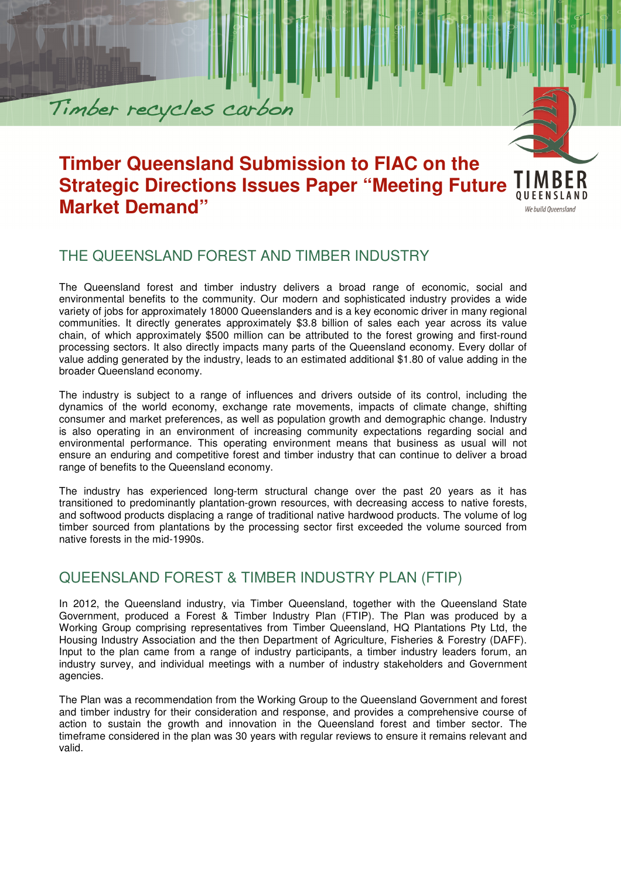# **Timber Queensland Submission to FIAC on the Strategic Directions Issues Paper "Meeting Future Market Demand"**

QUEENSLAND We build Queensland

## THE QUEENSLAND FOREST AND TIMBER INDUSTRY

Timber recycles carbon

The Queensland forest and timber industry delivers a broad range of economic, social and environmental benefits to the community. Our modern and sophisticated industry provides a wide variety of jobs for approximately 18000 Queenslanders and is a key economic driver in many regional communities. It directly generates approximately \$3.8 billion of sales each year across its value chain, of which approximately \$500 million can be attributed to the forest growing and first-round processing sectors. It also directly impacts many parts of the Queensland economy. Every dollar of value adding generated by the industry, leads to an estimated additional \$1.80 of value adding in the broader Queensland economy.

The industry is subject to a range of influences and drivers outside of its control, including the dynamics of the world economy, exchange rate movements, impacts of climate change, shifting consumer and market preferences, as well as population growth and demographic change. Industry is also operating in an environment of increasing community expectations regarding social and environmental performance. This operating environment means that business as usual will not ensure an enduring and competitive forest and timber industry that can continue to deliver a broad range of benefits to the Queensland economy.

The industry has experienced long-term structural change over the past 20 years as it has transitioned to predominantly plantation-grown resources, with decreasing access to native forests, and softwood products displacing a range of traditional native hardwood products. The volume of log timber sourced from plantations by the processing sector first exceeded the volume sourced from native forests in the mid-1990s.

#### QUEENSLAND FOREST & TIMBER INDUSTRY PLAN (FTIP)

In 2012, the Queensland industry, via Timber Queensland, together with the Queensland State Government, produced a Forest & Timber Industry Plan (FTIP). The Plan was produced by a Working Group comprising representatives from Timber Queensland, HQ Plantations Pty Ltd, the Housing Industry Association and the then Department of Agriculture, Fisheries & Forestry (DAFF). Input to the plan came from a range of industry participants, a timber industry leaders forum, an industry survey, and individual meetings with a number of industry stakeholders and Government agencies.

The Plan was a recommendation from the Working Group to the Queensland Government and forest and timber industry for their consideration and response, and provides a comprehensive course of action to sustain the growth and innovation in the Queensland forest and timber sector. The timeframe considered in the plan was 30 years with regular reviews to ensure it remains relevant and valid.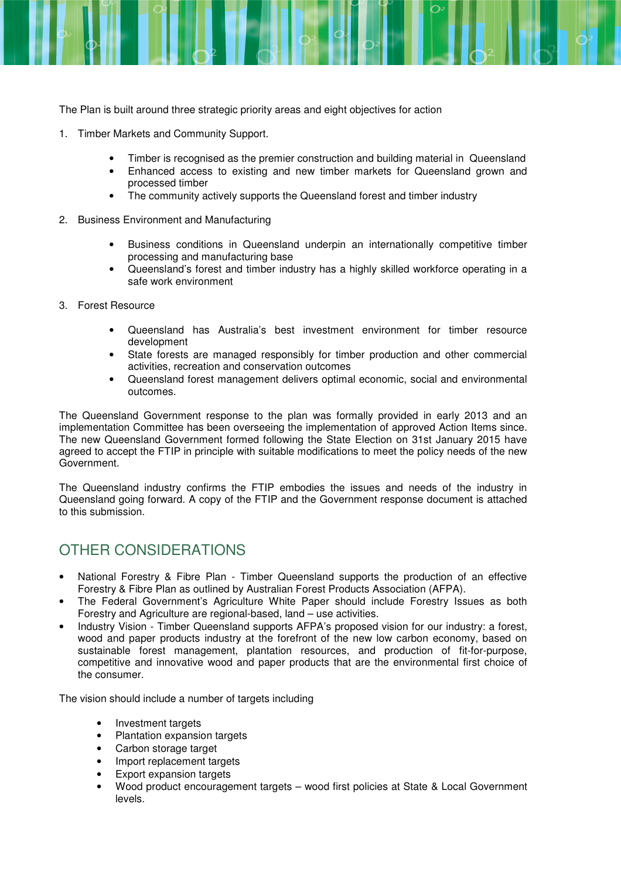The Plan is built around three strategic priority areas and eight objectives for action

- 1. Timber Markets and Community Support.
	- Timber is recognised as the premier construction and building material in Queensland
	- Enhanced access to existing and new timber markets for Queensland grown and processed timber
	- The community actively supports the Queensland forest and timber industry
- 2. Business Environment and Manufacturing
	- Business conditions in Queensland underpin an internationally competitive timber processing and manufacturing base
	- Queensland's forest and timber industry has a highly skilled workforce operating in a safe work environment
- 3. Forest Resource
	- Queensland has Australia's best investment environment for timber resource development
	- State forests are managed responsibly for timber production and other commercial activities, recreation and conservation outcomes
	- Queensland forest management delivers optimal economic, social and environmental outcomes.

The Queensland Government response to the plan was formally provided in early 2013 and an implementation Committee has been overseeing the implementation of approved Action Items since. The new Queensland Government formed following the State Election on 31st January 2015 have agreed to accept the FTIP in principle with suitable modifications to meet the policy needs of the new Government.

The Queensland industry confirms the FTIP embodies the issues and needs of the industry in Queensland going forward. A copy of the FTIP and the Government response document is attached to this submission.

## OTHER CONSIDERATIONS

- National Forestry & Fibre Plan Timber Queensland supports the production of an effective Forestry & Fibre Plan as outlined by Australian Forest Products Association (AFPA).
- The Federal Government's Agriculture White Paper should include Forestry Issues as both Forestry and Agriculture are regional-based, land – use activities.
- Industry Vision Timber Queensland supports AFPA's proposed vision for our industry: a forest, wood and paper products industry at the forefront of the new low carbon economy, based on sustainable forest management, plantation resources, and production of fit-for-purpose, competitive and innovative wood and paper products that are the environmental first choice of the consumer.

The vision should include a number of targets including

- Investment targets
- Plantation expansion targets
- Carbon storage target
- Import replacement targets
- **Export expansion targets**
- Wood product encouragement targets wood first policies at State & Local Government levels.